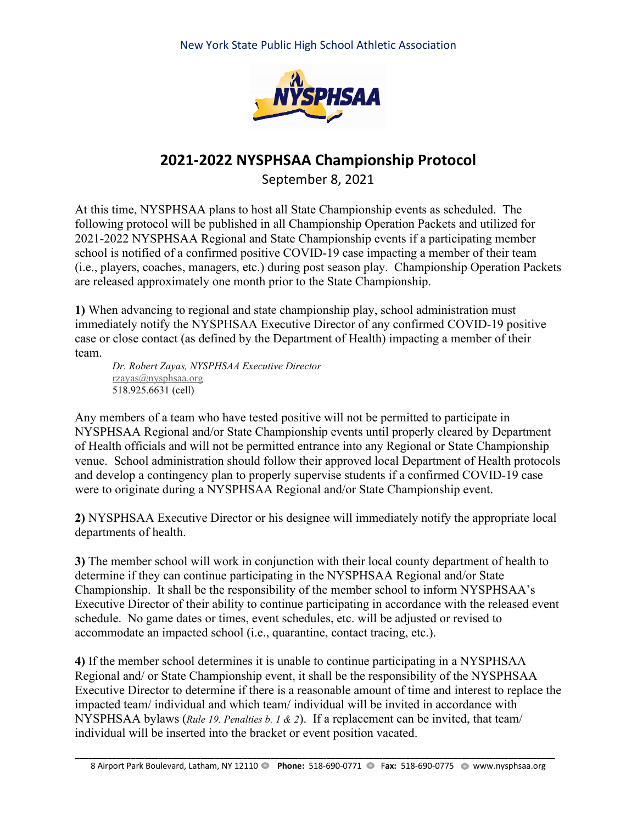New York State Public High School Athletic Association



## **2021-2022 NYSPHSAA Championship Protocol**

September 8, 2021

At this time, NYSPHSAA plans to host all State Championship events as scheduled. The following protocol will be published in all Championship Operation Packets and utilized for 2021-2022 NYSPHSAA Regional and State Championship events if a participating member school is notified of a confirmed positive COVID-19 case impacting a member of their team (i.e., players, coaches, managers, etc.) during post season play. Championship Operation Packets are released approximately one month prior to the State Championship.

**1)** When advancing to regional and state championship play, school administration must immediately notify the NYSPHSAA Executive Director of any confirmed COVID-19 positive case or close contact (as defined by the Department of Health) impacting a member of their team.

*Dr. Robert Zayas, NYSPHSAA Executive Director* [rzayas@nysphsaa.org](mailto:rzayas@nysphsaa.org) 518.925.6631 (cell)

Any members of a team who have tested positive will not be permitted to participate in NYSPHSAA Regional and/or State Championship events until properly cleared by Department of Health officials and will not be permitted entrance into any Regional or State Championship venue. School administration should follow their approved local Department of Health protocols and develop a contingency plan to properly supervise students if a confirmed COVID-19 case were to originate during a NYSPHSAA Regional and/or State Championship event.

**2)** NYSPHSAA Executive Director or his designee will immediately notify the appropriate local departments of health.

**3)** The member school will work in conjunction with their local county department of health to determine if they can continue participating in the NYSPHSAA Regional and/or State Championship. It shall be the responsibility of the member school to inform NYSPHSAA's Executive Director of their ability to continue participating in accordance with the released event schedule. No game dates or times, event schedules, etc. will be adjusted or revised to accommodate an impacted school (i.e., quarantine, contact tracing, etc.).

**4)** If the member school determines it is unable to continue participating in a NYSPHSAA Regional and/ or State Championship event, it shall be the responsibility of the NYSPHSAA Executive Director to determine if there is a reasonable amount of time and interest to replace the impacted team/ individual and which team/ individual will be invited in accordance with NYSPHSAA bylaws (*Rule 19. Penalties b. 1 & 2*). If a replacement can be invited, that team/ individual will be inserted into the bracket or event position vacated.